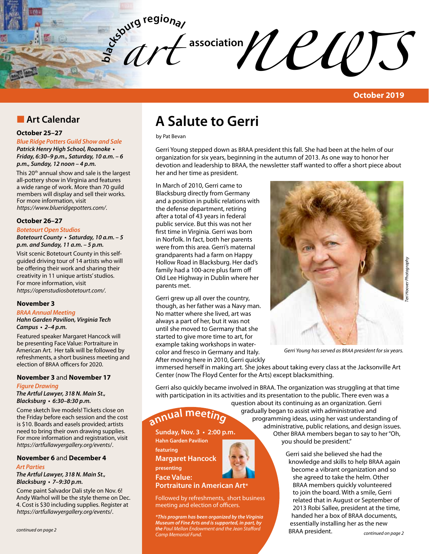

# **n** Art Calendar

### **October 25–27**

*Blue Ridge Potters Guild Show and Sale*

**Patrick Henry High School, Roanoke •**  *Friday, 6:30–9 p.m., Saturday, 10 a.m. – 6 p.m., Sunday, 12 noon – 4 p.m.*

This 20<sup>th</sup> annual show and sale is the largest all-pottery show in Virginia and features a wide range of work. More than 70 guild members will display and sell their works. For more information, visit *https://www.blueridgepotters.com/*.

#### **October 26–27**

*Botetourt Open Studios*

**Botetourt County • Saturday, 10 a.m. – 5 p.m. and Sunday, 11 a.m. – 5 p.m.**

Visit scenic Botetourt County in this selfguided driving tour of 14 artists who will be offering their work and sharing their creativity in 11 unique artists' studios. For more information, visit *https://openstudiosbotetourt.com/*.

### **November 3**

### *BRAA Annual Meeting*

*Hahn Garden Pavilion, Virginia Tech*  **Campus • 2–4 p.m.** 

Featured speaker Margaret Hancock will be presenting Face Value: Portraiture in American Art. Her talk will be followed by refreshments, a short business meeting and election of BRAA officers for 2020.

### **November 3** and **November 17**

#### *Figure Drawing*

*The Artful Lawyer, 318 N. Main St.,*  **Blacksburg • 6:30–8:30 p.m.** 

Come sketch live models! Tickets close on the Friday before each session and the cost is \$10. Boards and easels provided; artists need to bring their own drawing supplies. For more information and registration, visit *https://artfullawyergallery.org/events*/.

### **November 6** and **December 4**

#### *Art Parties*

*The Artful Lawyer, 318 N. Main St.,*  **Blacksburg • 7–9:30 p.m.** 

Come paint Salvador Dali style on Nov. 6! Andy Warhol will be the style theme on Dec. 4. Cost is \$30 including supplies. Register at *https://artfullawyergallery.org/events*/.

# **A Salute to Gerri**

by Pat Bevan

Gerri Young stepped down as BRAA president this fall. She had been at the helm of our organization for six years, beginning in the autumn of 2013. As one way to honor her devotion and leadership to BRAA, the newsletter staff wanted to offer a short piece about her and her time as president.

In March of 2010, Gerri came to Blacksburg directly from Germany and a position in public relations with the defense department, retiring after a total of 43 years in federal public service. But this was not her first time in Virginia. Gerri was born in Norfolk. In fact, both her parents were from this area. Gerri's maternal grandparents had a farm on Happy Hollow Road in Blacksburg. Her dad's family had a 100-acre plus farm off Old Lee Highway in Dublin where her parents met.

Gerri grew up all over the country, though, as her father was a Navy man. No matter where she lived, art was always a part of her, but it was not until she moved to Germany that she started to give more time to art, for example taking workshops in watercolor and fresco in Germany and Italy. After moving here in 2010, Gerri quickly



*Gerri Young has served as BRAA president for six years.*

immersed herself in making art. She jokes about taking every class at the Jacksonville Art Center (now The Floyd Center for the Arts) except blacksmithing.

Gerri also quickly became involved in BRAA. The organization was struggling at that time with participation in its activities and its presentation to the public. There even was a

> question about its continuing as an organization. Gerri gradually began to assist with administrative and programming ideas, using her vast understanding of administrative, public relations, and design issues.

 Other BRAA members began to say to her "Oh, you should be president."

> Gerri said she believed she had the knowledge and skills to help BRAA again become a vibrant organization and so she agreed to take the helm. Other BRAA members quickly volunteered to join the board. With a smile, Gerri related that in August or September of 2013 Robi Sallee, president at the time, handed her a box of BRAA documents, BRAA president.



Followed by refreshments, short business meeting and election of officers.

**featuring** 

**annua<sup>l</sup> <sup>m</sup>eetin<sup>g</sup>**

**presenting Face Value:** 

*continued on page 2 continued on page 2 Museum of Fine Arts and is supported, in part, by* essentially installing her as the new *\*This program has been organized by the Virginia the Paul Mellon Endowment and the Jean Stafford Camp Memorial Fund.*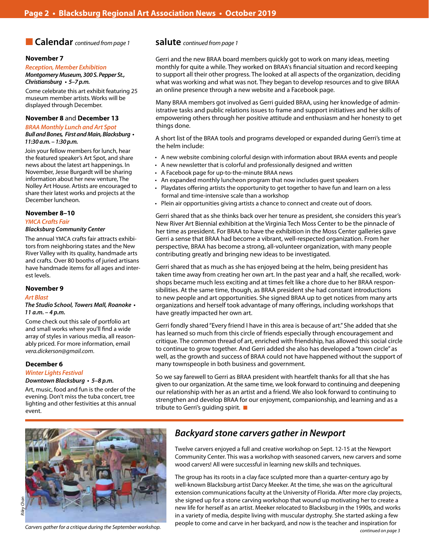## **n Calendar** *continued from page 1*

#### **November 7**

*Reception, Member Exhibition Montgomery Museum, 300 S. Pepper St.,*  **Christiansburg • 5–7 p.m.** 

Come celebrate this art exhibit featuring 25 museum member artists. Works will be displayed through December.

#### **November 8** and **December 13**

### *BRAA Monthly Lunch and Art Spot* **Bull and Bones, First and Main, Blacksburg •**

*11:30 a.m. – 1:30 p.m.* 

Join your fellow members for lunch, hear the featured speaker's Art Spot, and share news about the latest art happenings. In November, Jesse Burgardt will be sharing information about her new venture, The Nolley Art House. Artists are encouraged to share their latest works and projects at the December luncheon.

### **November 8–10**

#### *YMCA Crafts Fair*

#### *Blacksburg Community Center*

The annual YMCA crafts fair attracts exhibitors from neighboring states and the New River Valley with its quality, handmade arts and crafts. Over 80 booths of juried artisans have handmade items for all ages and interest levels.

#### **November 9**

#### *Art Blast*

#### **The Studio School, Towers Mall, Roanoke •**  *11 a.m. – 4 p.m.*

Come check out this sale of portfolio art and small works where you'll find a wide array of styles in various media, all reasonably priced. For more information, email *vera.dickerson@gmail.com*.

### **December 6**

### *Winter Lights Festival*

#### **Downtown Blacksburg • 5–8 p.m.**

Art, music, food and fun is the order of the evening. Don't miss the tuba concert, tree lighting and other festivities at this annual event.

### **salute** *continued from page 1*

Gerri and the new BRAA board members quickly got to work on many ideas, meeting monthly for quite a while. They worked on BRAA's financial situation and record keeping to support all their other progress. The looked at all aspects of the organization, deciding what was working and what was not. They began to develop resources and to give BRAA an online presence through a new website and a Facebook page.

Many BRAA members got involved as Gerri guided BRAA, using her knowledge of administrative tasks and public relations issues to frame and support initiatives and her skills of empowering others through her positive attitude and enthusiasm and her honesty to get things done.

A short list of the BRAA tools and programs developed or expanded during Gerri's time at the helm include:

- • A new website combining colorful design with information about BRAA events and people
- A new newsletter that is colorful and professionally designed and written
- • A Facebook page for up-to-the-minute BRAA news
- An expanded monthly luncheon program that now includes guest speakers
- Playdates offering artists the opportunity to get together to have fun and learn on a less formal and time-intensive scale than a workshop
- Plein air opportunities giving artists a chance to connect and create out of doors.

Gerri shared that as she thinks back over her tenure as president, she considers this year's New River Art Biennial exhibition at the Virginia Tech Moss Center to be the pinnacle of her time as president. For BRAA to have the exhibition in the Moss Center galleries gave Gerri a sense that BRAA had become a vibrant, well-respected organization. From her perspective, BRAA has become a strong, all-volunteer organization, with many people contributing greatly and bringing new ideas to be investigated.

Gerri shared that as much as she has enjoyed being at the helm, being president has taken time away from creating her own art. In the past year and a half, she recalled, workshops became much less exciting and at times felt like a chore due to her BRAA responsibilities. At the same time, though, as BRAA president she had constant introductions to new people and art opportunities. She signed BRAA up to get notices from many arts organizations and herself took advantage of many offerings, including workshops that have greatly impacted her own art.

Gerri fondly shared "Every friend I have in this area is because of art." She added that she has learned so much from this circle of friends especially through encouragement and critique. The common thread of art, enriched with friendship, has allowed this social circle to continue to grow together. And Gerri added she also has developed a "town circle" as well, as the growth and success of BRAA could not have happened without the support of many townspeople in both business and government.

So we say farewell to Gerri as BRAA president with heartfelt thanks for all that she has given to our organization. At the same time, we look forward to continuing and deepening our relationship with her as an artist and a friend. We also look forward to continuing to strengthen and develop BRAA for our enjoyment, companionship, and learning and as a tribute to Gerri's guiding spirit.  $\blacksquare$ 



*Carvers gather for a critique during the September workshop.*

# *Backyard stone carvers gather in Newport*

Twelve carvers enjoyed a full and creative workshop on Sept. 12-15 at the Newport Community Center. This was a workshop with seasoned carvers, new carvers and some wood carvers! All were successful in learning new skills and techniques.

The group has its roots in a clay face sculpted more than a quarter-century ago by well-known Blacksburg artist Darcy Meeker. At the time, she was on the agricultural extension communications faculty at the University of Florida. After more clay projects, she signed up for a stone carving workshop that wound up motivating her to create a new life for herself as an artist. Meeker relocated to Blacksburg in the 1990s, and works in a variety of media, despite living with muscular dystrophy. She started asking a few people to come and carve in her backyard, and now is the teacher and inspiration for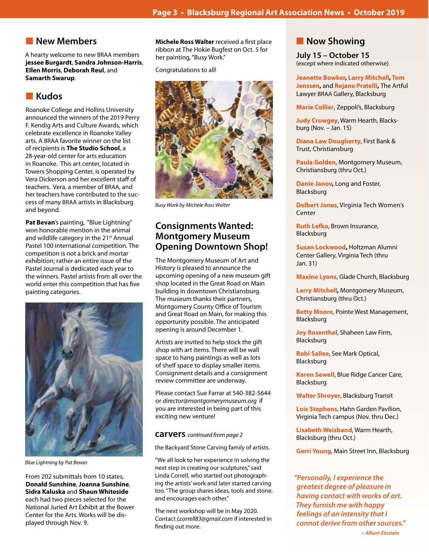٦

# **New Members**

A hearty welcome to new BRAA members **jessee Burgardt**, **Sandra Johnson-Harris**, **Ellen Morris**, **Deborah Reul**, and **Samarth Swarup**.

# **n** Kudos

Roanoke College and Hollins University announced the winners of the 2019 Perry F. Kendig Arts and Culture Awards, which celebrate excellence in Roanoke Valley arts. A BRAA favorite winner on the list of recipients is **The Studio School**, a 28-year-old center for arts education in Roanoke. This art center, located in Towers Shopping Center, is operated by Vera Dickerson and her excellent staff of teachers. Vera, a member of BRAA, and her teachers have contributed to the success of many BRAA artists in Blacksburg and beyond.

**Pat Bevan**'s painting, "Blue Lightning" won honorable mention in the animal and wildlife category in the 21<sup>st</sup> Annual Pastel 100 international competition. The competition is not a brick and mortar exhibition; rather an entire issue of the Pastel Journal is dedicated each year to the winners. Pastel artists from all over the world enter this competition that has five painting categories.



*Blue Lightning by Pat Bevan*

From 202 submittals from 10 states, **Donald Sunshine**, **Joanna Sunshine**, **Sidra Kaluska** and **Shaun Whiteside** each had two pieces selected for the National Juried Art Exhibit at the Bower Center for the Arts. Works will be displayed through Nov. 9.

**Michele Ross Walter** received a first place ribbon at The Hokie Bugfest on Oct. 5 for her painting, "Busy Work."

Congratulations to all!



*Busy Work by Michele Ross Walter*

# **Consignments Wanted: Montgomery Museum Opening Downtown Shop!**

The Montgomery Museum of Art and History is pleased to announce the upcoming opening of a new museum gift shop located in the Great Road on Main building in downtown Christiansburg. The museum thanks their partners, Montgomery County Office of Tourism and Great Road on Main, for making this opportunity possible. The anticipated opening is around December 1.

Artists are invited to help stock the gift shop with art items. There will be wall space to hang paintings as well as lots of shelf space to display smaller items. Consignment details and a consignment review committee are underway.

Please contact Sue Farrar at 540-382-5644 or *director@montgomerymuseum.org* if you are interested in being part of this exciting new venture!

### **carvers** *continued from page 2*

the Backyard Stone Carving family of artists.

"We all look to her experience in solving the next step in creating our sculptures," said Linda Correll, who started out photographing the artists' work and later started carving too. "The group shares ideas, tools and stone, and encourages each other."

The next workshop will be in May 2020. Contact *Lcorrell83@gmail.com* if interested in finding out more.

# **Now Showing**

**July 15 – October 15** (except where indicated otherwise)

**Jeanette Bowker, Larry Mitchell, Tom Jenssen,** and **Rejane Pratelli,** The Artful Lawyer BRAA Gallery, Blacksburg

**Marie Collier**, Zeppoli's, Blacksburg

**Judy Crowgey**, Warm Hearth, Blacksburg (Nov. – Jan. 15)

**Diana Law Dougherty**, First Bank & Trust, Christiansburg

**Paula Golden**, Montgomery Museum, Christiansburg (thru Oct.)

**Danie Janov,** Long and Foster, Blacksburg

**Delbert Jones**, Virginia Tech Women's Center

**Ruth Lefko**, Brown Insurance, Blacksburg

**Susan Lockwood,** Holtzman Alumni Center Gallery, Virginia Tech (thru Jan. 31)

**Maxine Lyons**, Glade Church, Blacksburg

**Larry Mitchell,** Montgomery Museum, Christiansburg (thru Oct.)

**Betty Moore**, Pointe West Management, Blacksburg

**Joy Rosenthal**, Shaheen Law Firm, Blacksburg

**Robi Sallee**, See Mark Optical, Blacksburg

**Karen Sewell**, Blue Ridge Cancer Care, Blacksburg

**Walter Shroyer**, Blacksburg Transit

**Lois Stephens**, Hahn Garden Pavilion, Virginia Tech campus (Nov. thru Dec.)

**Lisabeth Weisband**, Warm Hearth, Blacksburg (thru Oct.)

**Gerri Young**, Main Street Inn, Blacksburg

*"Personally, I experience the greatest degree of pleasure in having contact with works of art. They furnish me with happy feelings of an intensity that I cannot derive from other sources."*